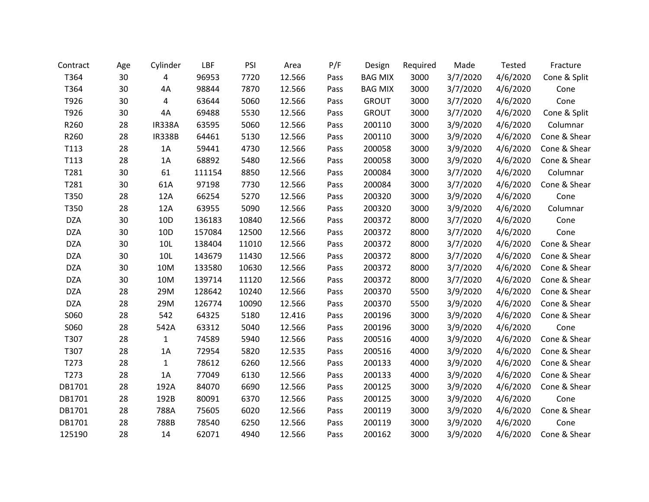| Contract   | Age | Cylinder        | LBF    | PSI   | Area   | P/F  | Design         | Required | Made     | Tested   | Fracture     |
|------------|-----|-----------------|--------|-------|--------|------|----------------|----------|----------|----------|--------------|
| T364       | 30  | 4               | 96953  | 7720  | 12.566 | Pass | <b>BAG MIX</b> | 3000     | 3/7/2020 | 4/6/2020 | Cone & Split |
| T364       | 30  | 4A              | 98844  | 7870  | 12.566 | Pass | <b>BAG MIX</b> | 3000     | 3/7/2020 | 4/6/2020 | Cone         |
| T926       | 30  | 4               | 63644  | 5060  | 12.566 | Pass | <b>GROUT</b>   | 3000     | 3/7/2020 | 4/6/2020 | Cone         |
| T926       | 30  | 4A              | 69488  | 5530  | 12.566 | Pass | <b>GROUT</b>   | 3000     | 3/7/2020 | 4/6/2020 | Cone & Split |
| R260       | 28  | <b>IR338A</b>   | 63595  | 5060  | 12.566 | Pass | 200110         | 3000     | 3/9/2020 | 4/6/2020 | Columnar     |
| R260       | 28  | <b>IR338B</b>   | 64461  | 5130  | 12.566 | Pass | 200110         | 3000     | 3/9/2020 | 4/6/2020 | Cone & Shear |
| T113       | 28  | 1A              | 59441  | 4730  | 12.566 | Pass | 200058         | 3000     | 3/9/2020 | 4/6/2020 | Cone & Shear |
| T113       | 28  | 1A              | 68892  | 5480  | 12.566 | Pass | 200058         | 3000     | 3/9/2020 | 4/6/2020 | Cone & Shear |
| T281       | 30  | 61              | 111154 | 8850  | 12.566 | Pass | 200084         | 3000     | 3/7/2020 | 4/6/2020 | Columnar     |
| T281       | 30  | 61A             | 97198  | 7730  | 12.566 | Pass | 200084         | 3000     | 3/7/2020 | 4/6/2020 | Cone & Shear |
| T350       | 28  | 12A             | 66254  | 5270  | 12.566 | Pass | 200320         | 3000     | 3/9/2020 | 4/6/2020 | Cone         |
| T350       | 28  | 12A             | 63955  | 5090  | 12.566 | Pass | 200320         | 3000     | 3/9/2020 | 4/6/2020 | Columnar     |
| <b>DZA</b> | 30  | 10 <sub>D</sub> | 136183 | 10840 | 12.566 | Pass | 200372         | 8000     | 3/7/2020 | 4/6/2020 | Cone         |
| <b>DZA</b> | 30  | 10D             | 157084 | 12500 | 12.566 | Pass | 200372         | 8000     | 3/7/2020 | 4/6/2020 | Cone         |
| <b>DZA</b> | 30  | 10L             | 138404 | 11010 | 12.566 | Pass | 200372         | 8000     | 3/7/2020 | 4/6/2020 | Cone & Shear |
| <b>DZA</b> | 30  | 10L             | 143679 | 11430 | 12.566 | Pass | 200372         | 8000     | 3/7/2020 | 4/6/2020 | Cone & Shear |
| <b>DZA</b> | 30  | 10M             | 133580 | 10630 | 12.566 | Pass | 200372         | 8000     | 3/7/2020 | 4/6/2020 | Cone & Shear |
| <b>DZA</b> | 30  | 10M             | 139714 | 11120 | 12.566 | Pass | 200372         | 8000     | 3/7/2020 | 4/6/2020 | Cone & Shear |
| <b>DZA</b> | 28  | 29M             | 128642 | 10240 | 12.566 | Pass | 200370         | 5500     | 3/9/2020 | 4/6/2020 | Cone & Shear |
| <b>DZA</b> | 28  | 29M             | 126774 | 10090 | 12.566 | Pass | 200370         | 5500     | 3/9/2020 | 4/6/2020 | Cone & Shear |
| S060       | 28  | 542             | 64325  | 5180  | 12.416 | Pass | 200196         | 3000     | 3/9/2020 | 4/6/2020 | Cone & Shear |
| S060       | 28  | 542A            | 63312  | 5040  | 12.566 | Pass | 200196         | 3000     | 3/9/2020 | 4/6/2020 | Cone         |
| T307       | 28  | $\mathbf{1}$    | 74589  | 5940  | 12.566 | Pass | 200516         | 4000     | 3/9/2020 | 4/6/2020 | Cone & Shear |
| T307       | 28  | 1A              | 72954  | 5820  | 12.535 | Pass | 200516         | 4000     | 3/9/2020 | 4/6/2020 | Cone & Shear |
| T273       | 28  | $\mathbf{1}$    | 78612  | 6260  | 12.566 | Pass | 200133         | 4000     | 3/9/2020 | 4/6/2020 | Cone & Shear |
| T273       | 28  | 1A              | 77049  | 6130  | 12.566 | Pass | 200133         | 4000     | 3/9/2020 | 4/6/2020 | Cone & Shear |
| DB1701     | 28  | 192A            | 84070  | 6690  | 12.566 | Pass | 200125         | 3000     | 3/9/2020 | 4/6/2020 | Cone & Shear |
| DB1701     | 28  | 192B            | 80091  | 6370  | 12.566 | Pass | 200125         | 3000     | 3/9/2020 | 4/6/2020 | Cone         |
| DB1701     | 28  | 788A            | 75605  | 6020  | 12.566 | Pass | 200119         | 3000     | 3/9/2020 | 4/6/2020 | Cone & Shear |
| DB1701     | 28  | 788B            | 78540  | 6250  | 12.566 | Pass | 200119         | 3000     | 3/9/2020 | 4/6/2020 | Cone         |
| 125190     | 28  | 14              | 62071  | 4940  | 12.566 | Pass | 200162         | 3000     | 3/9/2020 | 4/6/2020 | Cone & Shear |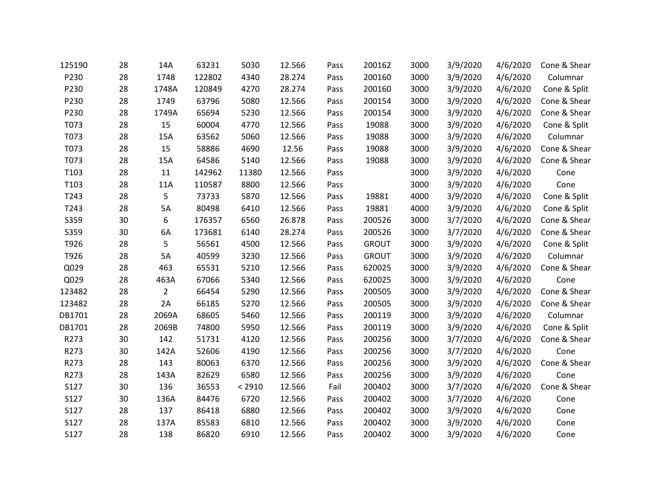| 125190 | 28 | 14A            | 63231  | 5030   | 12.566 | Pass | 200162       | 3000 | 3/9/2020 | 4/6/2020 | Cone & Shear |
|--------|----|----------------|--------|--------|--------|------|--------------|------|----------|----------|--------------|
| P230   | 28 | 1748           | 122802 | 4340   | 28.274 | Pass | 200160       | 3000 | 3/9/2020 | 4/6/2020 | Columnar     |
| P230   | 28 | 1748A          | 120849 | 4270   | 28.274 | Pass | 200160       | 3000 | 3/9/2020 | 4/6/2020 | Cone & Split |
| P230   | 28 | 1749           | 63796  | 5080   | 12.566 | Pass | 200154       | 3000 | 3/9/2020 | 4/6/2020 | Cone & Shear |
| P230   | 28 | 1749A          | 65694  | 5230   | 12.566 | Pass | 200154       | 3000 | 3/9/2020 | 4/6/2020 | Cone & Shear |
| T073   | 28 | 15             | 60004  | 4770   | 12.566 | Pass | 19088        | 3000 | 3/9/2020 | 4/6/2020 | Cone & Split |
| T073   | 28 | 15A            | 63562  | 5060   | 12.566 | Pass | 19088        | 3000 | 3/9/2020 | 4/6/2020 | Columnar     |
| T073   | 28 | 15             | 58886  | 4690   | 12.56  | Pass | 19088        | 3000 | 3/9/2020 | 4/6/2020 | Cone & Shear |
| T073   | 28 | 15A            | 64586  | 5140   | 12.566 | Pass | 19088        | 3000 | 3/9/2020 | 4/6/2020 | Cone & Shear |
| T103   | 28 | 11             | 142962 | 11380  | 12.566 | Pass |              | 3000 | 3/9/2020 | 4/6/2020 | Cone         |
| T103   | 28 | 11A            | 110587 | 8800   | 12.566 | Pass |              | 3000 | 3/9/2020 | 4/6/2020 | Cone         |
| T243   | 28 | 5              | 73733  | 5870   | 12.566 | Pass | 19881        | 4000 | 3/9/2020 | 4/6/2020 | Cone & Split |
| T243   | 28 | 5A             | 80498  | 6410   | 12.566 | Pass | 19881        | 4000 | 3/9/2020 | 4/6/2020 | Cone & Split |
| S359   | 30 | 6              | 176357 | 6560   | 26.878 | Pass | 200526       | 3000 | 3/7/2020 | 4/6/2020 | Cone & Shear |
| S359   | 30 | 6A             | 173681 | 6140   | 28.274 | Pass | 200526       | 3000 | 3/7/2020 | 4/6/2020 | Cone & Shear |
| T926   | 28 | 5              | 56561  | 4500   | 12.566 | Pass | <b>GROUT</b> | 3000 | 3/9/2020 | 4/6/2020 | Cone & Split |
| T926   | 28 | 5A             | 40599  | 3230   | 12.566 | Pass | <b>GROUT</b> | 3000 | 3/9/2020 | 4/6/2020 | Columnar     |
| Q029   | 28 | 463            | 65531  | 5210   | 12.566 | Pass | 620025       | 3000 | 3/9/2020 | 4/6/2020 | Cone & Shear |
| Q029   | 28 | 463A           | 67066  | 5340   | 12.566 | Pass | 620025       | 3000 | 3/9/2020 | 4/6/2020 | Cone         |
| 123482 | 28 | $\overline{2}$ | 66454  | 5290   | 12.566 | Pass | 200505       | 3000 | 3/9/2020 | 4/6/2020 | Cone & Shear |
| 123482 | 28 | 2A             | 66185  | 5270   | 12.566 | Pass | 200505       | 3000 | 3/9/2020 | 4/6/2020 | Cone & Shear |
| DB1701 | 28 | 2069A          | 68605  | 5460   | 12.566 | Pass | 200119       | 3000 | 3/9/2020 | 4/6/2020 | Columnar     |
| DB1701 | 28 | 2069B          | 74800  | 5950   | 12.566 | Pass | 200119       | 3000 | 3/9/2020 | 4/6/2020 | Cone & Split |
| R273   | 30 | 142            | 51731  | 4120   | 12.566 | Pass | 200256       | 3000 | 3/7/2020 | 4/6/2020 | Cone & Shear |
| R273   | 30 | 142A           | 52606  | 4190   | 12.566 | Pass | 200256       | 3000 | 3/7/2020 | 4/6/2020 | Cone         |
| R273   | 28 | 143            | 80063  | 6370   | 12.566 | Pass | 200256       | 3000 | 3/9/2020 | 4/6/2020 | Cone & Shear |
| R273   | 28 | 143A           | 82629  | 6580   | 12.566 | Pass | 200256       | 3000 | 3/9/2020 | 4/6/2020 | Cone         |
| S127   | 30 | 136            | 36553  | < 2910 | 12.566 | Fail | 200402       | 3000 | 3/7/2020 | 4/6/2020 | Cone & Shear |
| S127   | 30 | 136A           | 84476  | 6720   | 12.566 | Pass | 200402       | 3000 | 3/7/2020 | 4/6/2020 | Cone         |
| S127   | 28 | 137            | 86418  | 6880   | 12.566 | Pass | 200402       | 3000 | 3/9/2020 | 4/6/2020 | Cone         |
| S127   | 28 | 137A           | 85583  | 6810   | 12.566 | Pass | 200402       | 3000 | 3/9/2020 | 4/6/2020 | Cone         |
| S127   | 28 | 138            | 86820  | 6910   | 12.566 | Pass | 200402       | 3000 | 3/9/2020 | 4/6/2020 | Cone         |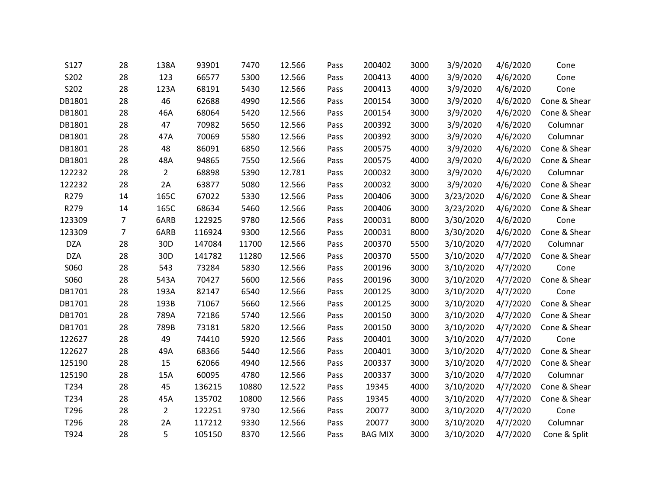| S127       | 28             | 138A            | 93901  | 7470  | 12.566 | Pass | 200402         | 3000 | 3/9/2020  | 4/6/2020 | Cone         |
|------------|----------------|-----------------|--------|-------|--------|------|----------------|------|-----------|----------|--------------|
| S202       | 28             | 123             | 66577  | 5300  | 12.566 | Pass | 200413         | 4000 | 3/9/2020  | 4/6/2020 | Cone         |
| S202       | 28             | 123A            | 68191  | 5430  | 12.566 | Pass | 200413         | 4000 | 3/9/2020  | 4/6/2020 | Cone         |
| DB1801     | 28             | 46              | 62688  | 4990  | 12.566 | Pass | 200154         | 3000 | 3/9/2020  | 4/6/2020 | Cone & Shear |
| DB1801     | 28             | 46A             | 68064  | 5420  | 12.566 | Pass | 200154         | 3000 | 3/9/2020  | 4/6/2020 | Cone & Shear |
| DB1801     | 28             | 47              | 70982  | 5650  | 12.566 | Pass | 200392         | 3000 | 3/9/2020  | 4/6/2020 | Columnar     |
| DB1801     | 28             | 47A             | 70069  | 5580  | 12.566 | Pass | 200392         | 3000 | 3/9/2020  | 4/6/2020 | Columnar     |
| DB1801     | 28             | 48              | 86091  | 6850  | 12.566 | Pass | 200575         | 4000 | 3/9/2020  | 4/6/2020 | Cone & Shear |
| DB1801     | 28             | 48A             | 94865  | 7550  | 12.566 | Pass | 200575         | 4000 | 3/9/2020  | 4/6/2020 | Cone & Shear |
| 122232     | 28             | $\overline{2}$  | 68898  | 5390  | 12.781 | Pass | 200032         | 3000 | 3/9/2020  | 4/6/2020 | Columnar     |
| 122232     | 28             | 2A              | 63877  | 5080  | 12.566 | Pass | 200032         | 3000 | 3/9/2020  | 4/6/2020 | Cone & Shear |
| R279       | 14             | 165C            | 67022  | 5330  | 12.566 | Pass | 200406         | 3000 | 3/23/2020 | 4/6/2020 | Cone & Shear |
| R279       | 14             | 165C            | 68634  | 5460  | 12.566 | Pass | 200406         | 3000 | 3/23/2020 | 4/6/2020 | Cone & Shear |
| 123309     | $\overline{7}$ | 6ARB            | 122925 | 9780  | 12.566 | Pass | 200031         | 8000 | 3/30/2020 | 4/6/2020 | Cone         |
| 123309     | $\overline{7}$ | 6ARB            | 116924 | 9300  | 12.566 | Pass | 200031         | 8000 | 3/30/2020 | 4/6/2020 | Cone & Shear |
| <b>DZA</b> | 28             | 30 <sub>D</sub> | 147084 | 11700 | 12.566 | Pass | 200370         | 5500 | 3/10/2020 | 4/7/2020 | Columnar     |
| <b>DZA</b> | 28             | 30 <sub>D</sub> | 141782 | 11280 | 12.566 | Pass | 200370         | 5500 | 3/10/2020 | 4/7/2020 | Cone & Shear |
| S060       | 28             | 543             | 73284  | 5830  | 12.566 | Pass | 200196         | 3000 | 3/10/2020 | 4/7/2020 | Cone         |
| S060       | 28             | 543A            | 70427  | 5600  | 12.566 | Pass | 200196         | 3000 | 3/10/2020 | 4/7/2020 | Cone & Shear |
| DB1701     | 28             | 193A            | 82147  | 6540  | 12.566 | Pass | 200125         | 3000 | 3/10/2020 | 4/7/2020 | Cone         |
| DB1701     | 28             | 193B            | 71067  | 5660  | 12.566 | Pass | 200125         | 3000 | 3/10/2020 | 4/7/2020 | Cone & Shear |
| DB1701     | 28             | 789A            | 72186  | 5740  | 12.566 | Pass | 200150         | 3000 | 3/10/2020 | 4/7/2020 | Cone & Shear |
| DB1701     | 28             | 789B            | 73181  | 5820  | 12.566 | Pass | 200150         | 3000 | 3/10/2020 | 4/7/2020 | Cone & Shear |
| 122627     | 28             | 49              | 74410  | 5920  | 12.566 | Pass | 200401         | 3000 | 3/10/2020 | 4/7/2020 | Cone         |
| 122627     | 28             | 49A             | 68366  | 5440  | 12.566 | Pass | 200401         | 3000 | 3/10/2020 | 4/7/2020 | Cone & Shear |
| 125190     | 28             | 15              | 62066  | 4940  | 12.566 | Pass | 200337         | 3000 | 3/10/2020 | 4/7/2020 | Cone & Shear |
| 125190     | 28             | 15A             | 60095  | 4780  | 12.566 | Pass | 200337         | 3000 | 3/10/2020 | 4/7/2020 | Columnar     |
| T234       | 28             | 45              | 136215 | 10880 | 12.522 | Pass | 19345          | 4000 | 3/10/2020 | 4/7/2020 | Cone & Shear |
| T234       | 28             | 45A             | 135702 | 10800 | 12.566 | Pass | 19345          | 4000 | 3/10/2020 | 4/7/2020 | Cone & Shear |
| T296       | 28             | $\overline{2}$  | 122251 | 9730  | 12.566 | Pass | 20077          | 3000 | 3/10/2020 | 4/7/2020 | Cone         |
| T296       | 28             | 2A              | 117212 | 9330  | 12.566 | Pass | 20077          | 3000 | 3/10/2020 | 4/7/2020 | Columnar     |
| T924       | 28             | 5               | 105150 | 8370  | 12.566 | Pass | <b>BAG MIX</b> | 3000 | 3/10/2020 | 4/7/2020 | Cone & Split |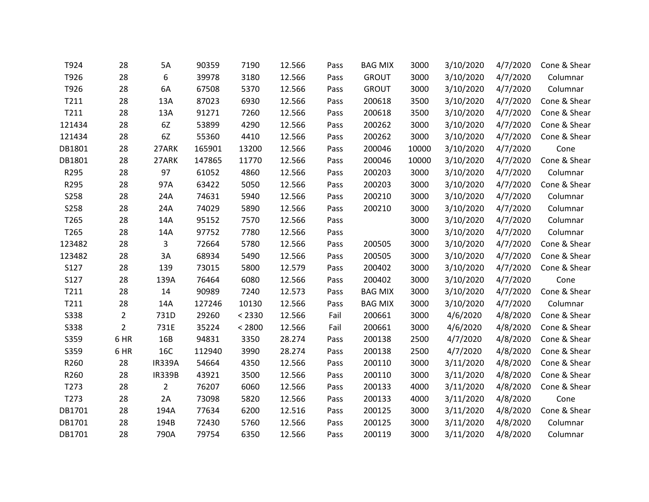| T924   | 28             | 5A             | 90359  | 7190   | 12.566 | Pass | <b>BAG MIX</b> | 3000  | 3/10/2020 | 4/7/2020 | Cone & Shear |
|--------|----------------|----------------|--------|--------|--------|------|----------------|-------|-----------|----------|--------------|
| T926   | 28             | 6              | 39978  | 3180   | 12.566 | Pass | <b>GROUT</b>   | 3000  | 3/10/2020 | 4/7/2020 | Columnar     |
| T926   | 28             | 6A             | 67508  | 5370   | 12.566 | Pass | <b>GROUT</b>   | 3000  | 3/10/2020 | 4/7/2020 | Columnar     |
| T211   | 28             | 13A            | 87023  | 6930   | 12.566 | Pass | 200618         | 3500  | 3/10/2020 | 4/7/2020 | Cone & Shear |
| T211   | 28             | 13A            | 91271  | 7260   | 12.566 | Pass | 200618         | 3500  | 3/10/2020 | 4/7/2020 | Cone & Shear |
| 121434 | 28             | 6Z             | 53899  | 4290   | 12.566 | Pass | 200262         | 3000  | 3/10/2020 | 4/7/2020 | Cone & Shear |
| 121434 | 28             | 6Z             | 55360  | 4410   | 12.566 | Pass | 200262         | 3000  | 3/10/2020 | 4/7/2020 | Cone & Shear |
| DB1801 | 28             | 27ARK          | 165901 | 13200  | 12.566 | Pass | 200046         | 10000 | 3/10/2020 | 4/7/2020 | Cone         |
| DB1801 | 28             | 27ARK          | 147865 | 11770  | 12.566 | Pass | 200046         | 10000 | 3/10/2020 | 4/7/2020 | Cone & Shear |
| R295   | 28             | 97             | 61052  | 4860   | 12.566 | Pass | 200203         | 3000  | 3/10/2020 | 4/7/2020 | Columnar     |
| R295   | 28             | 97A            | 63422  | 5050   | 12.566 | Pass | 200203         | 3000  | 3/10/2020 | 4/7/2020 | Cone & Shear |
| S258   | 28             | 24A            | 74631  | 5940   | 12.566 | Pass | 200210         | 3000  | 3/10/2020 | 4/7/2020 | Columnar     |
| S258   | 28             | 24A            | 74029  | 5890   | 12.566 | Pass | 200210         | 3000  | 3/10/2020 | 4/7/2020 | Columnar     |
| T265   | 28             | 14A            | 95152  | 7570   | 12.566 | Pass |                | 3000  | 3/10/2020 | 4/7/2020 | Columnar     |
| T265   | 28             | 14A            | 97752  | 7780   | 12.566 | Pass |                | 3000  | 3/10/2020 | 4/7/2020 | Columnar     |
| 123482 | 28             | 3              | 72664  | 5780   | 12.566 | Pass | 200505         | 3000  | 3/10/2020 | 4/7/2020 | Cone & Shear |
| 123482 | 28             | 3A             | 68934  | 5490   | 12.566 | Pass | 200505         | 3000  | 3/10/2020 | 4/7/2020 | Cone & Shear |
| S127   | 28             | 139            | 73015  | 5800   | 12.579 | Pass | 200402         | 3000  | 3/10/2020 | 4/7/2020 | Cone & Shear |
| S127   | 28             | 139A           | 76464  | 6080   | 12.566 | Pass | 200402         | 3000  | 3/10/2020 | 4/7/2020 | Cone         |
| T211   | 28             | 14             | 90989  | 7240   | 12.573 | Pass | <b>BAG MIX</b> | 3000  | 3/10/2020 | 4/7/2020 | Cone & Shear |
| T211   | 28             | 14A            | 127246 | 10130  | 12.566 | Pass | <b>BAG MIX</b> | 3000  | 3/10/2020 | 4/7/2020 | Columnar     |
| S338   | $\overline{2}$ | 731D           | 29260  | < 2330 | 12.566 | Fail | 200661         | 3000  | 4/6/2020  | 4/8/2020 | Cone & Shear |
| S338   | $\overline{2}$ | 731E           | 35224  | < 2800 | 12.566 | Fail | 200661         | 3000  | 4/6/2020  | 4/8/2020 | Cone & Shear |
| S359   | 6 HR           | 16B            | 94831  | 3350   | 28.274 | Pass | 200138         | 2500  | 4/7/2020  | 4/8/2020 | Cone & Shear |
| S359   | 6 HR           | 16C            | 112940 | 3990   | 28.274 | Pass | 200138         | 2500  | 4/7/2020  | 4/8/2020 | Cone & Shear |
| R260   | 28             | <b>IR339A</b>  | 54664  | 4350   | 12.566 | Pass | 200110         | 3000  | 3/11/2020 | 4/8/2020 | Cone & Shear |
| R260   | 28             | <b>IR339B</b>  | 43921  | 3500   | 12.566 | Pass | 200110         | 3000  | 3/11/2020 | 4/8/2020 | Cone & Shear |
| T273   | 28             | $\overline{2}$ | 76207  | 6060   | 12.566 | Pass | 200133         | 4000  | 3/11/2020 | 4/8/2020 | Cone & Shear |
| T273   | 28             | 2A             | 73098  | 5820   | 12.566 | Pass | 200133         | 4000  | 3/11/2020 | 4/8/2020 | Cone         |
| DB1701 | 28             | 194A           | 77634  | 6200   | 12.516 | Pass | 200125         | 3000  | 3/11/2020 | 4/8/2020 | Cone & Shear |
| DB1701 | 28             | 194B           | 72430  | 5760   | 12.566 | Pass | 200125         | 3000  | 3/11/2020 | 4/8/2020 | Columnar     |
| DB1701 | 28             | 790A           | 79754  | 6350   | 12.566 | Pass | 200119         | 3000  | 3/11/2020 | 4/8/2020 | Columnar     |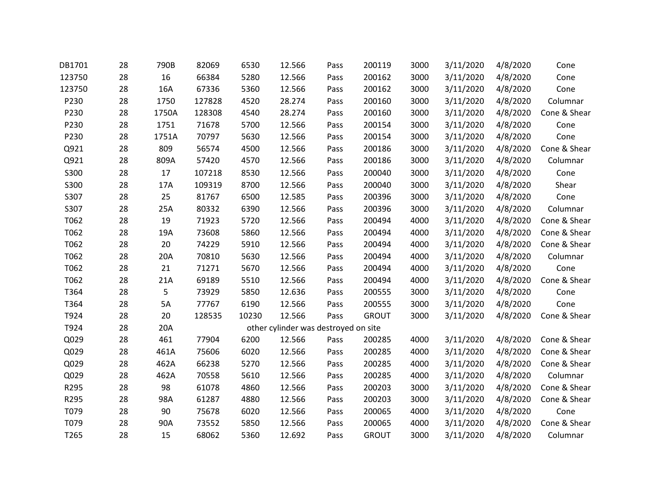| DB1701 | 28 | 790B  | 82069  | 6530  | 12.566                               | Pass | 200119       | 3000 | 3/11/2020 | 4/8/2020 | Cone         |
|--------|----|-------|--------|-------|--------------------------------------|------|--------------|------|-----------|----------|--------------|
| 123750 | 28 | 16    | 66384  | 5280  | 12.566                               | Pass | 200162       | 3000 | 3/11/2020 | 4/8/2020 | Cone         |
| 123750 | 28 | 16A   | 67336  | 5360  | 12.566                               | Pass | 200162       | 3000 | 3/11/2020 | 4/8/2020 | Cone         |
| P230   | 28 | 1750  | 127828 | 4520  | 28.274                               | Pass | 200160       | 3000 | 3/11/2020 | 4/8/2020 | Columnar     |
| P230   | 28 | 1750A | 128308 | 4540  | 28.274                               | Pass | 200160       | 3000 | 3/11/2020 | 4/8/2020 | Cone & Shear |
| P230   | 28 | 1751  | 71678  | 5700  | 12.566                               | Pass | 200154       | 3000 | 3/11/2020 | 4/8/2020 | Cone         |
| P230   | 28 | 1751A | 70797  | 5630  | 12.566                               | Pass | 200154       | 3000 | 3/11/2020 | 4/8/2020 | Cone         |
| Q921   | 28 | 809   | 56574  | 4500  | 12.566                               | Pass | 200186       | 3000 | 3/11/2020 | 4/8/2020 | Cone & Shear |
| Q921   | 28 | 809A  | 57420  | 4570  | 12.566                               | Pass | 200186       | 3000 | 3/11/2020 | 4/8/2020 | Columnar     |
| S300   | 28 | 17    | 107218 | 8530  | 12.566                               | Pass | 200040       | 3000 | 3/11/2020 | 4/8/2020 | Cone         |
| S300   | 28 | 17A   | 109319 | 8700  | 12.566                               | Pass | 200040       | 3000 | 3/11/2020 | 4/8/2020 | Shear        |
| S307   | 28 | 25    | 81767  | 6500  | 12.585                               | Pass | 200396       | 3000 | 3/11/2020 | 4/8/2020 | Cone         |
| S307   | 28 | 25A   | 80332  | 6390  | 12.566                               | Pass | 200396       | 3000 | 3/11/2020 | 4/8/2020 | Columnar     |
| T062   | 28 | 19    | 71923  | 5720  | 12.566                               | Pass | 200494       | 4000 | 3/11/2020 | 4/8/2020 | Cone & Shear |
| T062   | 28 | 19A   | 73608  | 5860  | 12.566                               | Pass | 200494       | 4000 | 3/11/2020 | 4/8/2020 | Cone & Shear |
| T062   | 28 | 20    | 74229  | 5910  | 12.566                               | Pass | 200494       | 4000 | 3/11/2020 | 4/8/2020 | Cone & Shear |
| T062   | 28 | 20A   | 70810  | 5630  | 12.566                               | Pass | 200494       | 4000 | 3/11/2020 | 4/8/2020 | Columnar     |
| T062   | 28 | 21    | 71271  | 5670  | 12.566                               | Pass | 200494       | 4000 | 3/11/2020 | 4/8/2020 | Cone         |
| T062   | 28 | 21A   | 69189  | 5510  | 12.566                               | Pass | 200494       | 4000 | 3/11/2020 | 4/8/2020 | Cone & Shear |
| T364   | 28 | 5     | 73929  | 5850  | 12.636                               | Pass | 200555       | 3000 | 3/11/2020 | 4/8/2020 | Cone         |
| T364   | 28 | 5A    | 77767  | 6190  | 12.566                               | Pass | 200555       | 3000 | 3/11/2020 | 4/8/2020 | Cone         |
| T924   | 28 | 20    | 128535 | 10230 | 12.566                               | Pass | <b>GROUT</b> | 3000 | 3/11/2020 | 4/8/2020 | Cone & Shear |
| T924   | 28 | 20A   |        |       | other cylinder was destroyed on site |      |              |      |           |          |              |
| Q029   | 28 | 461   | 77904  | 6200  | 12.566                               | Pass | 200285       | 4000 | 3/11/2020 | 4/8/2020 | Cone & Shear |
| Q029   | 28 | 461A  | 75606  | 6020  | 12.566                               | Pass | 200285       | 4000 | 3/11/2020 | 4/8/2020 | Cone & Shear |
| Q029   | 28 | 462A  | 66238  | 5270  | 12.566                               | Pass | 200285       | 4000 | 3/11/2020 | 4/8/2020 | Cone & Shear |
| Q029   | 28 | 462A  | 70558  | 5610  | 12.566                               | Pass | 200285       | 4000 | 3/11/2020 | 4/8/2020 | Columnar     |
| R295   | 28 | 98    | 61078  | 4860  | 12.566                               | Pass | 200203       | 3000 | 3/11/2020 | 4/8/2020 | Cone & Shear |
| R295   | 28 | 98A   | 61287  | 4880  | 12.566                               | Pass | 200203       | 3000 | 3/11/2020 | 4/8/2020 | Cone & Shear |
| T079   | 28 | 90    | 75678  | 6020  | 12.566                               | Pass | 200065       | 4000 | 3/11/2020 | 4/8/2020 | Cone         |
| T079   | 28 | 90A   | 73552  | 5850  | 12.566                               | Pass | 200065       | 4000 | 3/11/2020 | 4/8/2020 | Cone & Shear |
| T265   | 28 | 15    | 68062  | 5360  | 12.692                               | Pass | <b>GROUT</b> | 3000 | 3/11/2020 | 4/8/2020 | Columnar     |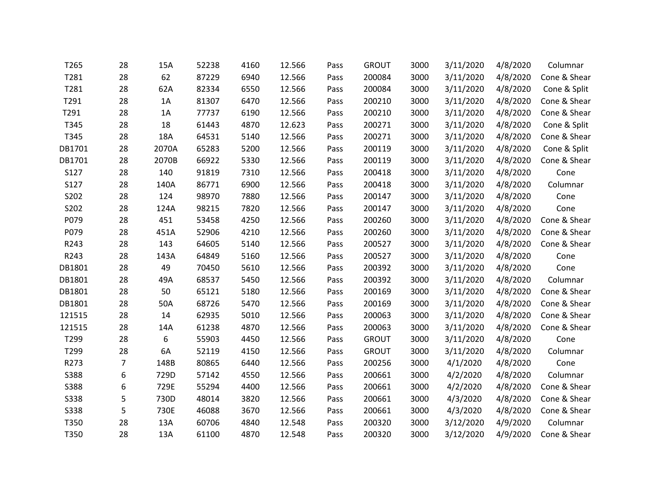| 28             | 15A   | 52238 | 4160 | 12.566 | Pass | <b>GROUT</b> | 3000 | 3/11/2020 | 4/8/2020 | Columnar     |
|----------------|-------|-------|------|--------|------|--------------|------|-----------|----------|--------------|
| 28             | 62    | 87229 | 6940 | 12.566 | Pass | 200084       | 3000 | 3/11/2020 | 4/8/2020 | Cone & Shear |
| 28             | 62A   | 82334 | 6550 | 12.566 | Pass | 200084       | 3000 | 3/11/2020 | 4/8/2020 | Cone & Split |
| 28             | 1A    | 81307 | 6470 | 12.566 | Pass | 200210       | 3000 | 3/11/2020 | 4/8/2020 | Cone & Shear |
| 28             | 1A    | 77737 | 6190 | 12.566 | Pass | 200210       | 3000 | 3/11/2020 | 4/8/2020 | Cone & Shear |
| 28             | 18    | 61443 | 4870 | 12.623 | Pass | 200271       | 3000 | 3/11/2020 | 4/8/2020 | Cone & Split |
| 28             | 18A   | 64531 | 5140 | 12.566 | Pass | 200271       | 3000 | 3/11/2020 | 4/8/2020 | Cone & Shear |
| 28             | 2070A | 65283 | 5200 | 12.566 | Pass | 200119       | 3000 | 3/11/2020 | 4/8/2020 | Cone & Split |
| 28             | 2070B | 66922 | 5330 | 12.566 | Pass | 200119       | 3000 | 3/11/2020 | 4/8/2020 | Cone & Shear |
| 28             | 140   | 91819 | 7310 | 12.566 | Pass | 200418       | 3000 | 3/11/2020 | 4/8/2020 | Cone         |
| 28             | 140A  | 86771 | 6900 | 12.566 | Pass | 200418       | 3000 | 3/11/2020 | 4/8/2020 | Columnar     |
| 28             | 124   | 98970 | 7880 | 12.566 | Pass | 200147       | 3000 | 3/11/2020 | 4/8/2020 | Cone         |
| 28             | 124A  | 98215 | 7820 | 12.566 | Pass | 200147       | 3000 | 3/11/2020 | 4/8/2020 | Cone         |
| 28             | 451   | 53458 | 4250 | 12.566 | Pass | 200260       | 3000 | 3/11/2020 | 4/8/2020 | Cone & Shear |
| 28             | 451A  | 52906 | 4210 | 12.566 | Pass | 200260       | 3000 | 3/11/2020 | 4/8/2020 | Cone & Shear |
| 28             | 143   | 64605 | 5140 | 12.566 | Pass | 200527       | 3000 | 3/11/2020 | 4/8/2020 | Cone & Shear |
| 28             | 143A  | 64849 | 5160 | 12.566 | Pass | 200527       | 3000 | 3/11/2020 | 4/8/2020 | Cone         |
| 28             | 49    | 70450 | 5610 | 12.566 | Pass | 200392       | 3000 | 3/11/2020 | 4/8/2020 | Cone         |
| 28             | 49A   | 68537 | 5450 | 12.566 | Pass | 200392       | 3000 | 3/11/2020 | 4/8/2020 | Columnar     |
| 28             | 50    | 65121 | 5180 | 12.566 | Pass | 200169       | 3000 | 3/11/2020 | 4/8/2020 | Cone & Shear |
| 28             | 50A   | 68726 | 5470 | 12.566 | Pass | 200169       | 3000 | 3/11/2020 | 4/8/2020 | Cone & Shear |
| 28             | 14    | 62935 | 5010 | 12.566 | Pass | 200063       | 3000 | 3/11/2020 | 4/8/2020 | Cone & Shear |
| 28             | 14A   | 61238 | 4870 | 12.566 | Pass | 200063       | 3000 | 3/11/2020 | 4/8/2020 | Cone & Shear |
| 28             | 6     | 55903 | 4450 | 12.566 | Pass | <b>GROUT</b> | 3000 | 3/11/2020 | 4/8/2020 | Cone         |
| 28             | 6A    | 52119 | 4150 | 12.566 | Pass | <b>GROUT</b> | 3000 | 3/11/2020 | 4/8/2020 | Columnar     |
| $\overline{7}$ | 148B  | 80865 | 6440 | 12.566 | Pass | 200256       | 3000 | 4/1/2020  | 4/8/2020 | Cone         |
| 6              | 729D  | 57142 | 4550 | 12.566 | Pass | 200661       | 3000 | 4/2/2020  | 4/8/2020 | Columnar     |
| 6              | 729E  | 55294 | 4400 | 12.566 | Pass | 200661       | 3000 | 4/2/2020  | 4/8/2020 | Cone & Shear |
| 5              | 730D  | 48014 | 3820 | 12.566 | Pass | 200661       | 3000 | 4/3/2020  | 4/8/2020 | Cone & Shear |
| 5              | 730E  | 46088 | 3670 | 12.566 | Pass | 200661       | 3000 | 4/3/2020  | 4/8/2020 | Cone & Shear |
| 28             | 13A   | 60706 | 4840 | 12.548 | Pass | 200320       | 3000 | 3/12/2020 | 4/9/2020 | Columnar     |
| 28             | 13A   | 61100 | 4870 | 12.548 | Pass | 200320       | 3000 | 3/12/2020 | 4/9/2020 | Cone & Shear |
|                |       |       |      |        |      |              |      |           |          |              |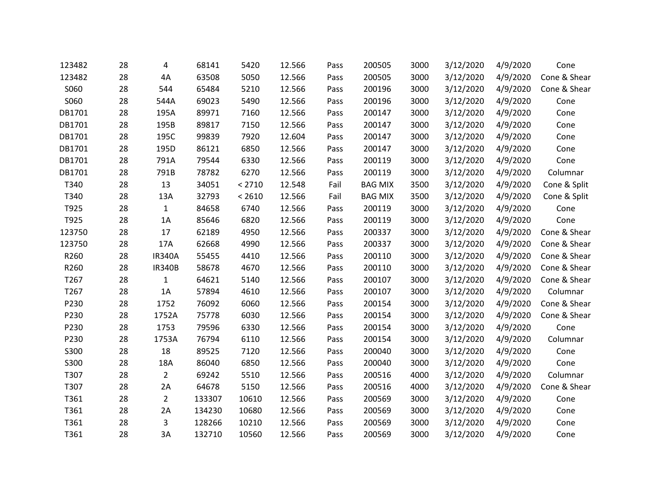| 123482 | 28 | 4              | 68141  | 5420   | 12.566 | Pass | 200505         | 3000 | 3/12/2020 | 4/9/2020 | Cone         |
|--------|----|----------------|--------|--------|--------|------|----------------|------|-----------|----------|--------------|
| 123482 | 28 | 4A             | 63508  | 5050   | 12.566 | Pass | 200505         | 3000 | 3/12/2020 | 4/9/2020 | Cone & Shear |
| S060   | 28 | 544            | 65484  | 5210   | 12.566 | Pass | 200196         | 3000 | 3/12/2020 | 4/9/2020 | Cone & Shear |
| S060   | 28 | 544A           | 69023  | 5490   | 12.566 | Pass | 200196         | 3000 | 3/12/2020 | 4/9/2020 | Cone         |
| DB1701 | 28 | 195A           | 89971  | 7160   | 12.566 | Pass | 200147         | 3000 | 3/12/2020 | 4/9/2020 | Cone         |
| DB1701 | 28 | 195B           | 89817  | 7150   | 12.566 | Pass | 200147         | 3000 | 3/12/2020 | 4/9/2020 | Cone         |
| DB1701 | 28 | 195C           | 99839  | 7920   | 12.604 | Pass | 200147         | 3000 | 3/12/2020 | 4/9/2020 | Cone         |
| DB1701 | 28 | 195D           | 86121  | 6850   | 12.566 | Pass | 200147         | 3000 | 3/12/2020 | 4/9/2020 | Cone         |
| DB1701 | 28 | 791A           | 79544  | 6330   | 12.566 | Pass | 200119         | 3000 | 3/12/2020 | 4/9/2020 | Cone         |
| DB1701 | 28 | 791B           | 78782  | 6270   | 12.566 | Pass | 200119         | 3000 | 3/12/2020 | 4/9/2020 | Columnar     |
| T340   | 28 | 13             | 34051  | < 2710 | 12.548 | Fail | <b>BAG MIX</b> | 3500 | 3/12/2020 | 4/9/2020 | Cone & Split |
| T340   | 28 | 13A            | 32793  | < 2610 | 12.566 | Fail | <b>BAG MIX</b> | 3500 | 3/12/2020 | 4/9/2020 | Cone & Split |
| T925   | 28 | $\mathbf{1}$   | 84658  | 6740   | 12.566 | Pass | 200119         | 3000 | 3/12/2020 | 4/9/2020 | Cone         |
| T925   | 28 | 1A             | 85646  | 6820   | 12.566 | Pass | 200119         | 3000 | 3/12/2020 | 4/9/2020 | Cone         |
| 123750 | 28 | 17             | 62189  | 4950   | 12.566 | Pass | 200337         | 3000 | 3/12/2020 | 4/9/2020 | Cone & Shear |
| 123750 | 28 | 17A            | 62668  | 4990   | 12.566 | Pass | 200337         | 3000 | 3/12/2020 | 4/9/2020 | Cone & Shear |
| R260   | 28 | <b>IR340A</b>  | 55455  | 4410   | 12.566 | Pass | 200110         | 3000 | 3/12/2020 | 4/9/2020 | Cone & Shear |
| R260   | 28 | <b>IR340B</b>  | 58678  | 4670   | 12.566 | Pass | 200110         | 3000 | 3/12/2020 | 4/9/2020 | Cone & Shear |
| T267   | 28 | $\mathbf{1}$   | 64621  | 5140   | 12.566 | Pass | 200107         | 3000 | 3/12/2020 | 4/9/2020 | Cone & Shear |
| T267   | 28 | 1A             | 57894  | 4610   | 12.566 | Pass | 200107         | 3000 | 3/12/2020 | 4/9/2020 | Columnar     |
| P230   | 28 | 1752           | 76092  | 6060   | 12.566 | Pass | 200154         | 3000 | 3/12/2020 | 4/9/2020 | Cone & Shear |
| P230   | 28 | 1752A          | 75778  | 6030   | 12.566 | Pass | 200154         | 3000 | 3/12/2020 | 4/9/2020 | Cone & Shear |
| P230   | 28 | 1753           | 79596  | 6330   | 12.566 | Pass | 200154         | 3000 | 3/12/2020 | 4/9/2020 | Cone         |
| P230   | 28 | 1753A          | 76794  | 6110   | 12.566 | Pass | 200154         | 3000 | 3/12/2020 | 4/9/2020 | Columnar     |
| S300   | 28 | 18             | 89525  | 7120   | 12.566 | Pass | 200040         | 3000 | 3/12/2020 | 4/9/2020 | Cone         |
| S300   | 28 | 18A            | 86040  | 6850   | 12.566 | Pass | 200040         | 3000 | 3/12/2020 | 4/9/2020 | Cone         |
| T307   | 28 | $\overline{2}$ | 69242  | 5510   | 12.566 | Pass | 200516         | 4000 | 3/12/2020 | 4/9/2020 | Columnar     |
| T307   | 28 | 2A             | 64678  | 5150   | 12.566 | Pass | 200516         | 4000 | 3/12/2020 | 4/9/2020 | Cone & Shear |
| T361   | 28 | $\overline{2}$ | 133307 | 10610  | 12.566 | Pass | 200569         | 3000 | 3/12/2020 | 4/9/2020 | Cone         |
| T361   | 28 | 2A             | 134230 | 10680  | 12.566 | Pass | 200569         | 3000 | 3/12/2020 | 4/9/2020 | Cone         |
| T361   | 28 | 3              | 128266 | 10210  | 12.566 | Pass | 200569         | 3000 | 3/12/2020 | 4/9/2020 | Cone         |
| T361   | 28 | 3A             | 132710 | 10560  | 12.566 | Pass | 200569         | 3000 | 3/12/2020 | 4/9/2020 | Cone         |
|        |    |                |        |        |        |      |                |      |           |          |              |